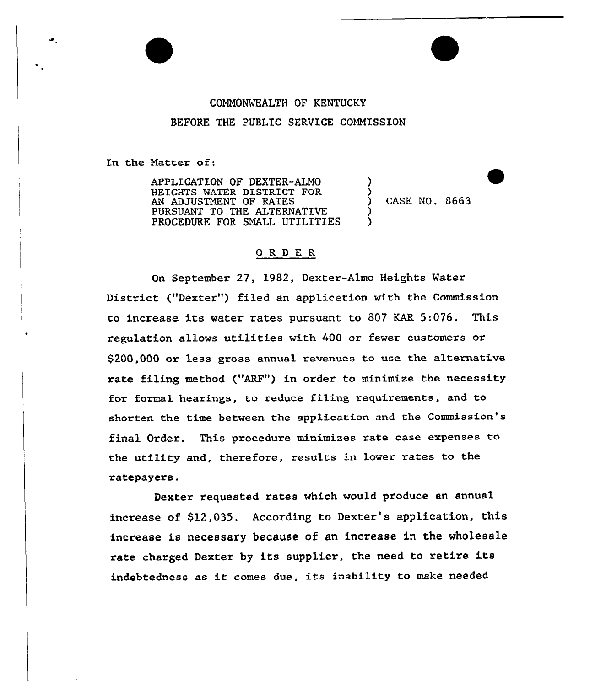# COMMONWEALTH OF KENTUCKY BEFORE THE PUBLIC SERVICE COMMISSION

In the Natter of:

 $\bullet$ 

APPLICATION OF DEXTER-ALMO HEIGHTS WATER DISTRICT FOR AN ADJUSTNENT OF RATES PURSUANT TO THE ALTERNATIVE PROCEDURE FOR SMALL UTILITIES

CASE NO. 8663

)  $\check{\wr}$ 

) )

#### 0 RD E R

On September 27, 1982, Dexter-Almo Heights Water District ("Dexter"} filed an application with the Commission to increase its water rates pursuant to 807 KAR 5:076. This regulation allows utilities with 400 or fewer customers or \$200,000 or less gross annual revenues to use the alternative rate filing method ("ARF") in order to minimize the necessity for formal hearings, to reduce filing requirements, and to shorten the time between the application and the Commission's final Order. This procedure minimizes rate case expenses to the utility and, therefore, results in lower rates to the ratepayers.

Dexter requested rates which would produce an annual increase of \$12,035. According to Dexter's application, this increase is necessary because of an increase in the wholesale rate charged Dexter by its supplier, the need to retire its indebtedness as it comes due, its inability to make needed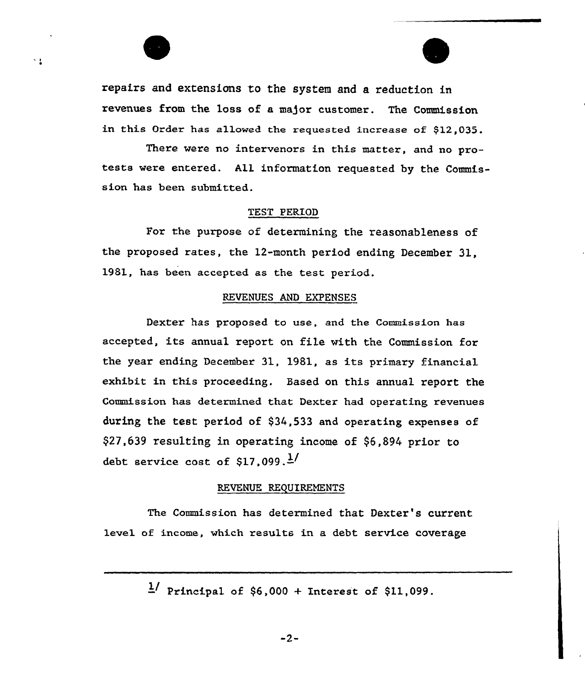repairs and extensions to the system and a reduction in revenues from the loss of a major customer. The Commission in this Order has allowed the requested increase of \$12,035.

× 1

There vere no intervenors in this mattex, and no protests vere entered. All information requested by the Commission has been submitted.

## TEST PERIOD

For the purpose of determining the reasonableness of the proposed rates, the 12-month period ending December 31, 1981, has been accepted as the test period.

#### REVENUES AND EXPENSES

Dexter has proposed to use, and the Commission has accepted, its annual report on file vith the Commission for the year ending December 31, 1981, as its primary financial exhibit in this proceeding. Based on this annual report the Commission has determined that Dexter had operating revenues during the teat period of \$34,533 and opexating expenses of \$27,639 resulting in operating income of \$6,894 prior to debt service cost of \$17,099. $\frac{1}{2}$ 

#### REVENUE REQUIREMENTS

The Commission has determined that Dexter's current level of income, which results in a debt sexvice coverage

 $\frac{1}{2}$  Principal of \$6,000 + Interest of \$11,099.

 $-2-$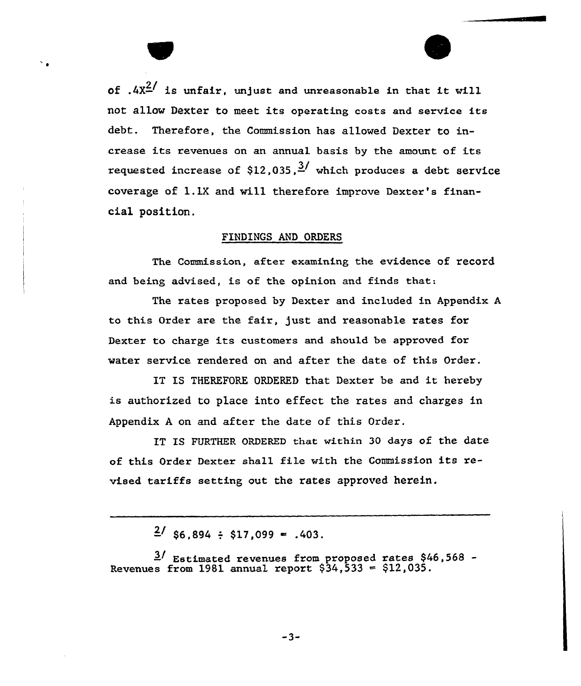of  $.4x^{2/}$  is unfair, unjust and unreasonable in that it will not allow Dexter to meet its operating costs and service its debt. Therefore, the Commission has allowed Dexter to increase its revenues on an annual basis by the amount of its requested increase of \$12,035,  $\frac{3}{4}$  which produces a debt service coverage of 1.1X and vill therefore improve Dexter's financial position.

# FINDINGS AND ORDERS

The Commission, after examining the evidence of record and being advised, is of the opinion and finds that:

The rates proposed by Dexter and included in Appendix A to this Order are the fair, just. and reasonable rates for Dexter to charge its customers and should be approved for water service rendered on and after the date of this Order.

IT IS THEREFORE ORDERED that Dexter be and it hereby is authorized to place into effect the rates and charges in Appendix <sup>A</sup> on and after the date of this Order.

IT IS FURTHER ORDERED that within 30 days of the date of this Order Dexter shall file with the Commission its revised tariffs setting out the rates approved herein.

 $\frac{2}{186}$ , 894 : \$17,099 = .403.

Estimated revenues from proposed rates \$46,568 Revenues from  $1981$  annual report  $$34,533 = $12,035$ .

 $-3-$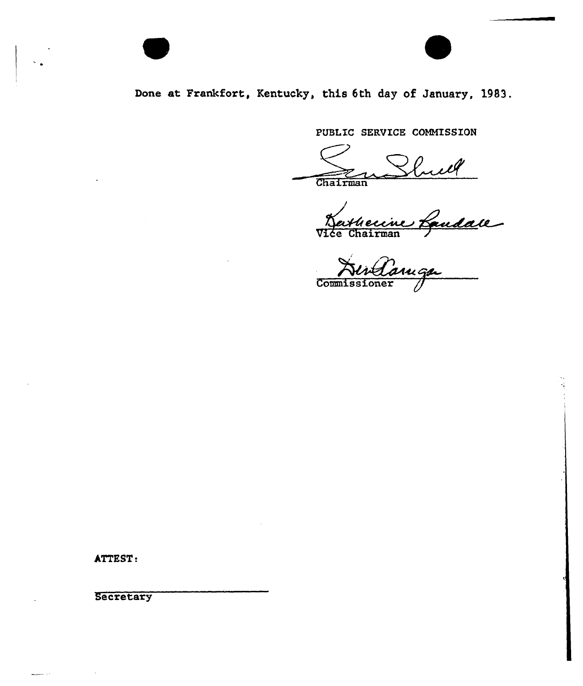# Done at Frankfort, Kentucky, this 6th day of January, 1983.

PUBLIC SERVICE COMMISSION

Vice Chairma

Commissione

ATTEST:

 $\sim$   $\sim$ 

**Secretary** 

 $\sim 10$ 

لأبار للنف